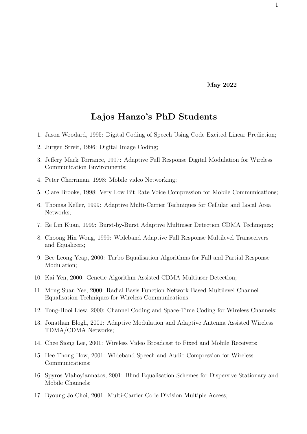May 2022

## Lajos Hanzo's PhD Students

- 1. Jason Woodard, 1995: Digital Coding of Speech Using Code Excited Linear Prediction;
- 2. Jurgen Streit, 1996: Digital Image Coding;
- 3. Jeffery Mark Torrance, 1997: Adaptive Full Response Digital Modulation for Wireless Communication Environments;
- 4. Peter Cherriman, 1998: Mobile video Networking;
- 5. Clare Brooks, 1998: Very Low Bit Rate Voice Compression for Mobile Communications;
- 6. Thomas Keller, 1999: Adaptive Multi-Carrier Techniques for Cellular and Local Area Networks;
- 7. Ee Lin Kuan, 1999: Burst-by-Burst Adaptive Multiuser Detection CDMA Techniques;
- 8. Choong Hin Wong, 1999: Wideband Adaptive Full Response Multilevel Transceivers and Equalizers;
- 9. Bee Leong Yeap, 2000: Turbo Equalisation Algorithms for Full and Partial Response Modulation;
- 10. Kai Yen, 2000: Genetic Algorithm Assisted CDMA Multiuser Detection;
- 11. Mong Suan Yee, 2000: Radial Basis Function Network Based Multilevel Channel Equalisation Techniques for Wireless Communications;
- 12. Tong-Hooi Liew, 2000: Channel Coding and Space-Time Coding for Wireless Channels;
- 13. Jonathan Blogh, 2001: Adaptive Modulation and Adaptive Antenna Assisted Wireless TDMA/CDMA Networks;
- 14. Chee Siong Lee, 2001: Wireless Video Broadcast to Fixed and Mobile Receivers;
- 15. Hee Thong How, 2001: Wideband Speech and Audio Compression for Wireless Communications;
- 16. Spyros Vlahoyiannatos, 2001: Blind Equalisation Schemes for Dispersive Stationary and Mobile Channels;
- 17. Byoung Jo Choi, 2001: Multi-Carrier Code Division Multiple Access;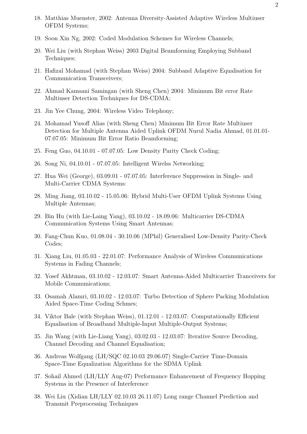- 18. Matthias Muenster, 2002: Antenna Diversity-Assisted Adaptive Wireless Multiuser OFDM Systems;
- 19. Soon Xin Ng, 2002: Coded Modulation Schemes for Wireless Channels;
- 20. Wei Liu (with Stephan Weiss) 2003 Digital Beamforming Employing Subband Techniques;
- 21. Hafizal Mohamad (with Stephan Weiss) 2004: Subband Adaptive Equalisation for Communication Transceivers;
- 22. Ahmad Kamsani Samingan (with Sheng Chen) 2004: Minimum Bit error Rate Multiuser Detection Techniques for DS-CDMA;
- 23. Jin Yee Chung, 2004: Wireless Video Telephony;
- 24. Mohamad Yusoff Alias (with Sheng Chen) Minimum Bit Error Rate Multiuser Detection for Multiple Antenna Aided Uplink OFDM Nurul Nadia Ahmad, 01.01.01- 07.07.05: Minimum Bit Error Ratio Beamforming;
- 25. Feng Guo, 04.10.01 07.07.05: Low Density Parity Check Coding;
- 26. Song Ni, 04.10.01 07.07.05: Intelligent Wirelss Networking;
- 27. Hua Wei (George), 03.09.01 07.07.05: Interference Suppression in Single- and Multi-Carrier CDMA Systems:
- 28. Ming Jiang, 03.10.02 15.05.06: Hybrid Multi-User OFDM Uplink Systems Using Multiple Antennas;
- 29. Bin Hu (with Lie-Laing Yang), 03.10.02 18.09.06: Multicarrier DS-CDMA Communication Systems Using Smart Antennas;
- 30. Fang-Chun Kuo, 01.08.04 30.10.06 (MPhil) Generalised Low-Density Parity-Check Codes;
- 31. Xiang Liu, 01.05.03 22.01.07: Performance Analysis of Wireless Communications Systems in Fading Channels;
- 32. Yosef Akhtman, 03.10.02 12.03.07: Smart Antenna-Aided Multicarrier Tranceivers for Mobile Communications;
- 33. Osamah Alamri, 03.10.02 12.03.07: Turbo Detection of Sphere Packing Modulation Aided Space-Time Coding Schmes;
- 34. Viktor Bale (with Stephan Weiss), 01.12.01 12.03.07: Computationally Efficient Equalisation of Broadband Multiple-Input Multiple-Output Systems;
- 35. Jin Wang (with Lie-Liang Yang), 03.02.03 12.03.07: Iterative Source Decoding, Channel Decoding and Channel Equalisation;
- 36. Andreas Wolfgang (LH/SQC 02.10.03 29.06.07) Single-Carrier Time-Domain Space-Time Equalization Algorithms for the SDMA Uplink
- 37. Sohail Ahmed (LH/LLY Aug-07) Performance Enhancement of Frequency Hopping Systems in the Presence of Interference
- 38. Wei Liu (Xidian LH/LLY 02.10.03 26.11.07) Long range Channel Prediction and Transmit Preprocessing Techniques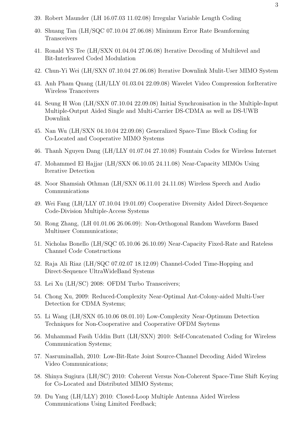- 39. Robert Maunder (LH 16.07.03 11.02.08) Irregular Variable Length Coding
- 40. Shuang Tan (LH/SQC 07.10.04 27.06.08) Minimum Error Rate Beamforming Transceivers
- 41. Ronald YS Tee (LH/SXN 01.04.04 27.06.08) Iterative Decoding of Multilevel and Bit-Interleaved Coded Modulation
- 42. Chun-Yi Wei (LH/SXN 07.10.04 27.06.08) Iterative Downlink Mulit-User MIMO System
- 43. Anh Pham Quang (LH/LLY 01.03.04 22.09.08) Wavelet Video Compression forIterative Wireless Tranceivers
- 44. Seung H Won (LH/SXN 07.10.04 22.09.08) Initial Synchronisation in the Multiple-Input Multiple-Output Aided Single and Multi-Carrier DS-CDMA as well as DS-UWB Downlink
- 45. Nan Wu (LH/SXN 04.10.04 22.09.08) Generalized Space-Time Block Coding for Co-Located and Cooperative MIMO Systems
- 46. Thanh Nguyen Dang (LH/LLY 01.07.04 27.10.08) Fountain Codes for Wireless Internet
- 47. Mohammed El Hajjar (LH/SXN 06.10.05 24.11.08) Near-Capacity MIMOs Using Iterative Detection
- 48. Noor Shamsiah Othman (LH/SXN 06.11.01 24.11.08) Wireless Speech and Audio Communications
- 49. Wei Fang (LH/LLY 07.10.04 19.01.09) Cooperative Diversity Aided Direct-Sequence Code-Division Multiple-Access Systems
- 50. Rong Zhang, (LH 01.01.06 26.06.09): Non-Orthogonal Random Waveform Based Multiuser Communications;
- 51. Nicholas Bonello (LH/SQC 05.10.06 26.10.09) Near-Capacity Fixed-Rate and Rateless Channel Code Constructions
- 52. Raja Ali Riaz (LH/SQC 07.02.07 18.12.09) Channel-Coded Time-Hopping and Direct-Sequence UltraWideBand Systems
- 53. Lei Xu (LH/SC) 2008: OFDM Turbo Transceivers;
- 54. Chong Xu, 2009: Reduced-Complexity Near-Optimal Ant-Colony-aided Multi-User Detection for CDMA Systems;
- 55. Li Wang (LH/SXN 05.10.06 08.01.10) Low-Complexity Near-Optimum Detection Techniques for Non-Cooperative and Cooperative OFDM Ssytems
- 56. Muhammad Fasih Uddin Butt (LH/SXN) 2010: Self-Concatenated Coding for Wireless Communication Systems;
- 57. Nasruminallah, 2010: Low-Bit-Rate Joint Source-Channel Decoding Aided Wireless Video Communications;
- 58. Shinya Sugiura (LH/SC) 2010: Coherent Versus Non-Coherent Space-Time Shift Keying for Co-Located and Distributed MIMO Systems;
- 59. Du Yang (LH/LLY) 2010: Closed-Loop Multiple Antenna Aided Wireless Communications Using Limited Feedback;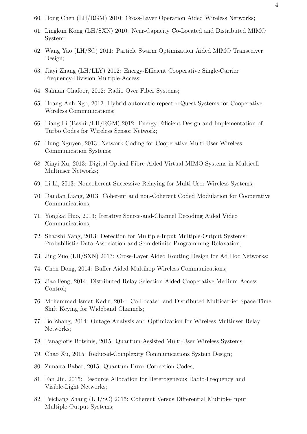- 60. Hong Chen (LH/RGM) 2010: Cross-Layer Operation Aided Wireless Networks;
- 61. Lingkun Kong (LH/SXN) 2010: Near-Capacity Co-Located and Distributed MIMO System;
- 62. Wang Yao (LH/SC) 2011: Particle Swarm Optimization Aided MIMO Transceiver Design;
- 63. Jiayi Zhang (LH/LLY) 2012: Energy-Efficient Cooperative Single-Carrier Frequency-Division Multiple-Access;
- 64. Salman Ghafoor, 2012: Radio Over Fiber Systems;
- 65. Hoang Anh Ngo, 2012: Hybrid automatic-repeat-reQuest Systems for Cooperative Wireless Communications;
- 66. Liang Li (Bashir/LH/RGM) 2012: Energy-Efficient Design and Implementation of Turbo Codes for Wireless Sensor Network;
- 67. Hung Nguyen, 2013: Network Coding for Cooperative Multi-User Wireless Communication Systems;
- 68. Xinyi Xu, 2013: Digital Optical Fibre Aided Virtual MIMO Systems in Multicell Multiuser Networks;
- 69. Li Li, 2013: Noncoherent Successive Relaying for Multi-User Wireless Systems;
- 70. Dandan Liang, 2013: Coherent and non-Coherent Coded Modulation for Cooperative Communications;
- 71. Yongkai Huo, 2013: Iterative Source-and-Channel Decoding Aided Video Communications;
- 72. Shaoshi Yang, 2013: Detection for Multiple-Input Multiple-Output Systems: Probabilistic Data Association and Semidefinite Programming Relaxation;
- 73. Jing Zuo (LH/SXN) 2013: Cross-Layer Aided Routing Design for Ad Hoc Networks;
- 74. Chen Dong, 2014: Buffer-Aided Multihop Wireless Communications;
- 75. Jiao Feng, 2014: Distributed Relay Selection Aided Cooperative Medium Access Control;
- 76. Mohammad Ismat Kadir, 2014: Co-Located and Distributed Multicarrier Space-Time Shift Keying for Wideband Channels;
- 77. Bo Zhang, 2014: Outage Analysis and Optimization for Wireless Multiuser Relay Networks;
- 78. Panagiotis Botsinis, 2015: Quantum-Assisted Multi-User Wireless Systems;
- 79. Chao Xu, 2015: Reduced-Complexity Communications System Design;
- 80. Zunaira Babar, 2015: Quantum Error Correction Codes;
- 81. Fan Jin, 2015: Resource Allocation for Heterogeneous Radio-Frequency and Visible-Light Networks;
- 82. Peichang Zhang (LH/SC) 2015: Coherent Versus Differential Multiple-Input Multiple-Output Systems;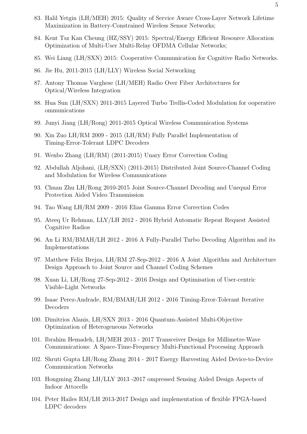- 83. Halil Yetgin (LH/MEH) 2015: Quality of Service Aware Cross-Layer Network Lifetime Maximization in Battery-Constrained Wireless Sensor Networks;
- 84. Kent Tsz Kan Cheung (HZ/SSY) 2015: Spectral/Energy Efficient Resource Allocation Optimization of Multi-User Multi-Relay OFDMA Cellular Networks;
- 85. Wei Liang (LH/SXN) 2015: Cooperative Communication for Cognitive Radio Networks.
- 86. Jie Hu, 2011-2015 (LH/LLY) Wireless Social Networking
- 87. Antony Thomas Varghese (LH/MEH) Radio Over Fiber Architectures for Optical/Wireless Integration
- 88. Hua Sun (LH/SXN) 2011-2015 Layered Turbo Trellis-Coded Modulation for ooperative ommunications
- 89. Junyi Jiang (LH/Rong) 2011-2015 Optical Wireless Communication Systems
- 90. Xin Zuo LH/RM 2009 2015 (LH/RM) Fully Parallel Implementation of Timing-Error-Tolerant LDPC Decoders
- 91. Wenbo Zhang (LH/RM) (2011-2015) Unary Error Correction Coding
- 92. Abdullah Aljohani, (LH/SXN) (2011-2015) Distributed Joint Source-Channel Coding and Modulation for Wireless Communications
- 93. Chuan Zhu LH/Rong 2010-2015 Joint Source-Channel Decoding and Unequal Error Protection Aided Video Transmission
- 94. Tao Wang LH/RM 2009 2016 Elias Gamma Error Correction Codes
- 95. Ateeq Ur Rehman, LLY/LH 2012 2016 Hybrid Automatic Repeat Request Assisted Cognitive Radios
- 96. An Li RM/BMAH/LH 2012 2016 A Fully-Parallel Turbo Decoding Algorithm and its Implementations
- 97. Matthew Felix Brejza, LH/RM 27-Sep-2012 2016 A Joint Algorithm and Architecture Design Approach to Joint Source and Channel Coding Schemes
- 98. Xuan Li, LH/Rong 27-Sep-2012 2016 Design and Optimisation of User-centric Visible-Light Networks
- 99. Isaac Perez-Andrade, RM/BMAH/LH 2012 2016 Timing-Error-Tolerant Iterative Decoders
- 100. Dimitrios Alanis, LH/SXN 2013 2016 Quantum-Assisted Multi-Objective Optimization of Heterogeneous Networks
- 101. Ibrahim Hemadeh, LH/MEH 2013 2017 Transceiver Design for Millimetre-Wave Communications: A Space-Time-Frequency Multi-Functional Processing Approach
- 102. Shruti Gupta LH/Rong Zhang 2014 2017 Energy Harvesting Aided Device-to-Device Communication Networks
- 103. Hongming Zhang LH/LLY 2013 -2017 ompressed Sensing Aided Design Aspects of Indoor Attocells
- 104. Peter Hailes RM/LH 2013-2017 Design and implementation of flexible FPGA-based LDPC decoders